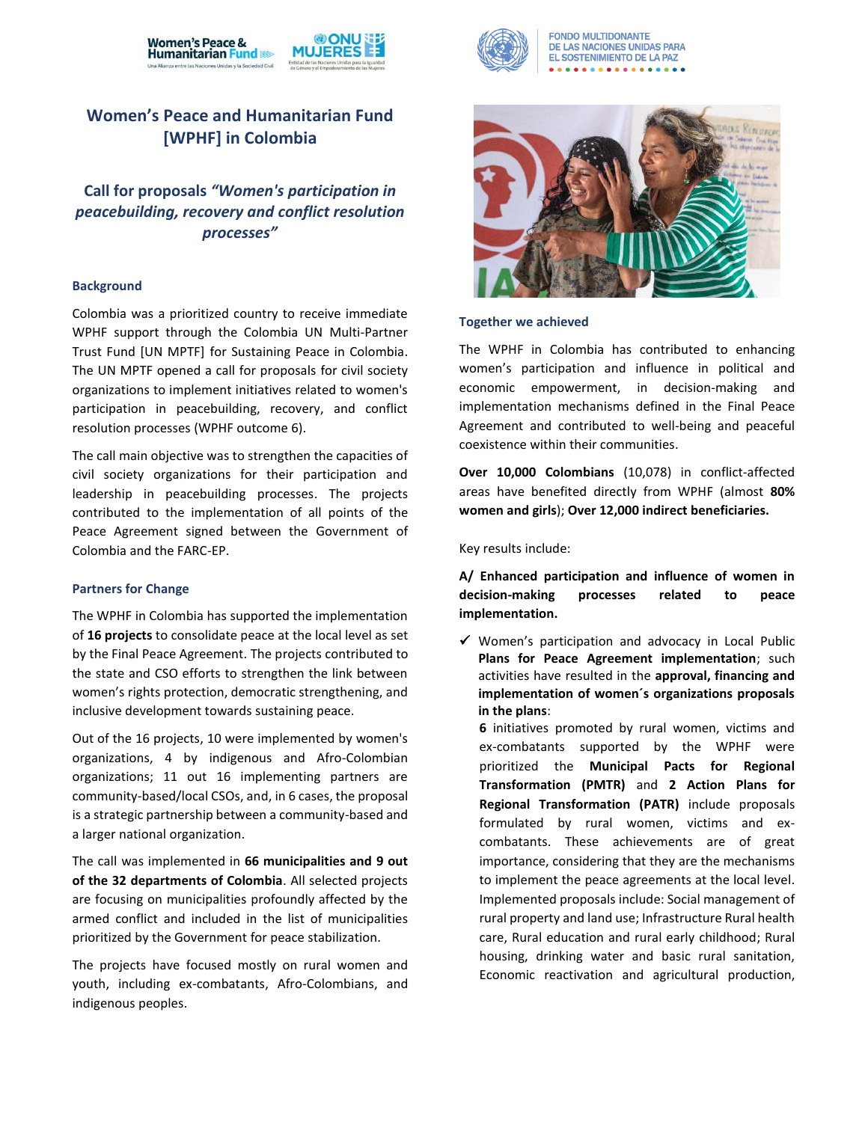



**FONDO MULTIDONANTE** DE LAS NACIONES UNIDAS PARA **EL SOSTENIMIENTO DE LA PAZ** 

# **Women's Peace and Humanitarian Fund [WPHF] in Colombia**

**Call for proposals** *"Women's participation in peacebuilding, recovery and conflict resolution processes"*

## **Background**

Colombia was a prioritized country to receive immediate WPHF support through the Colombia UN Multi-Partner Trust Fund [UN MPTF] for Sustaining Peace in Colombia. The UN MPTF opened a call for proposals for civil society organizations to implement initiatives related to women's participation in peacebuilding, recovery, and conflict resolution processes (WPHF outcome 6).

The call main objective was to strengthen the capacities of civil society organizations for their participation and leadership in peacebuilding processes. The projects contributed to the implementation of all points of the Peace Agreement signed between the Government of Colombia and the FARC-EP.

#### **Partners for Change**

The WPHF in Colombia has supported the implementation of **16 projects** to consolidate peace at the local level as set by the Final Peace Agreement. The projects contributed to the state and CSO efforts to strengthen the link between women's rights protection, democratic strengthening, and inclusive development towards sustaining peace.

Out of the 16 projects, 10 were implemented by women's organizations, 4 by indigenous and Afro-Colombian organizations; 11 out 16 implementing partners are community-based/local CSOs, and, in 6 cases, the proposal is a strategic partnership between a community-based and a larger national organization.

The call was implemented in **66 municipalities and 9 out of the 32 departments of Colombia**. All selected projects are focusing on municipalities profoundly affected by the armed conflict and included in the list of municipalities prioritized by the Government for peace stabilization.

The projects have focused mostly on rural women and youth, including ex-combatants, Afro-Colombians, and indigenous peoples.



### **Together we achieved**

The WPHF in Colombia has contributed to enhancing women's participation and influence in political and economic empowerment, in decision-making and implementation mechanisms defined in the Final Peace Agreement and contributed to well-being and peaceful coexistence within their communities.

**Over 10,000 Colombians** (10,078) in conflict-affected areas have benefited directly from WPHF (almost **80% women and girls**); **Over 12,000 indirect beneficiaries.**

Key results include:

**A/ Enhanced participation and influence of women in decision-making processes related to peace implementation.** 

✓ Women's participation and advocacy in Local Public **Plans for Peace Agreement implementation**; such activities have resulted in the **approval, financing and implementation of women´s organizations proposals in the plans**:

**6** initiatives promoted by rural women, victims and ex-combatants supported by the WPHF were prioritized the **Municipal Pacts for Regional Transformation (PMTR)** and **2 Action Plans for Regional Transformation (PATR)** include proposals formulated by rural women, victims and excombatants. These achievements are of great importance, considering that they are the mechanisms to implement the peace agreements at the local level. Implemented proposals include: Social management of rural property and land use; Infrastructure Rural health care, Rural education and rural early childhood; Rural housing, drinking water and basic rural sanitation, Economic reactivation and agricultural production,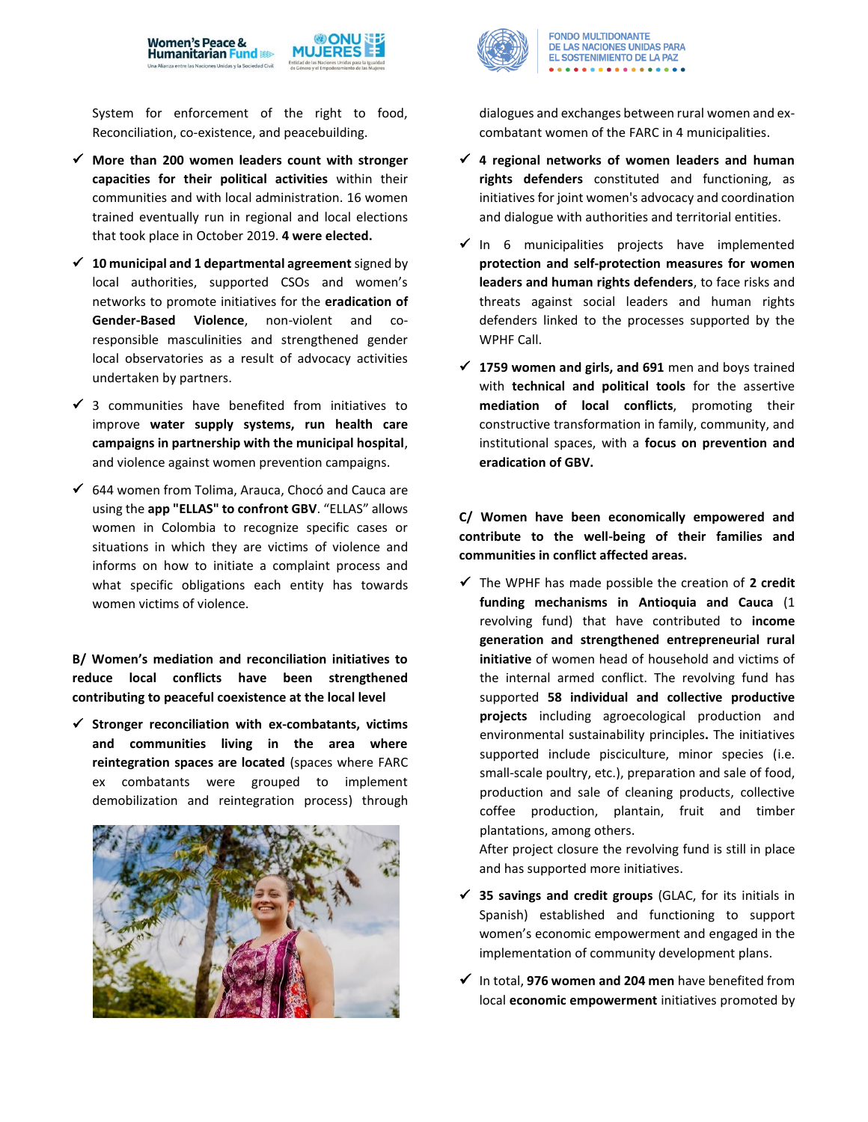

System for enforcement of the right to food, Reconciliation, co-existence, and peacebuilding.

- ✓ **More than 200 women leaders count with stronger capacities for their political activities** within their communities and with local administration. 16 women trained eventually run in regional and local elections that took place in October 2019. **4 were elected.**
- ✓ **10 municipal and 1 departmental agreement** signed by local authorities, supported CSOs and women's networks to promote initiatives for the **eradication of Gender-Based Violence**, non-violent and coresponsible masculinities and strengthened gender local observatories as a result of advocacy activities undertaken by partners.
- $\checkmark$  3 communities have benefited from initiatives to improve **water supply systems, run health care campaigns in partnership with the municipal hospital**, and violence against women prevention campaigns.
- ✓ 644 women from Tolima, Arauca, Chocó and Cauca are using the **app "ELLAS" to confront GBV**. "ELLAS" allows women in Colombia to recognize specific cases or situations in which they are victims of violence and informs on how to initiate a complaint process and what specific obligations each entity has towards women victims of violence.

**B/ Women's mediation and reconciliation initiatives to reduce local conflicts have been strengthened contributing to peaceful coexistence at the local level** 

✓ **Stronger reconciliation with ex-combatants, victims and communities living in the area where reintegration spaces are located** (spaces where FARC ex combatants were grouped to implement demobilization and reintegration process) through





**FONDO MULTIDONANTE** DE LAS NACIONES UNIDAS PARA EL SOSTENIMIENTO DE LA PAZ

dialogues and exchanges between rural women and excombatant women of the FARC in 4 municipalities.

- ✓ **4 regional networks of women leaders and human rights defenders** constituted and functioning, as initiatives for joint women's advocacy and coordination and dialogue with authorities and territorial entities.
- $\checkmark$  In 6 municipalities projects have implemented **protection and self-protection measures for women leaders and human rights defenders**, to face risks and threats against social leaders and human rights defenders linked to the processes supported by the WPHF Call.
- ✓ **1759 women and girls, and 691** men and boys trained with **technical and political tools** for the assertive **mediation of local conflicts**, promoting their constructive transformation in family, community, and institutional spaces, with a **focus on prevention and eradication of GBV.**

**C/ Women have been economically empowered and contribute to the well-being of their families and communities in conflict affected areas.**

✓ The WPHF has made possible the creation of **2 credit funding mechanisms in Antioquia and Cauca** (1 revolving fund) that have contributed to **income generation and strengthened entrepreneurial rural initiative** of women head of household and victims of the internal armed conflict. The revolving fund has supported **58 individual and collective productive projects** including agroecological production and environmental sustainability principles**.** The initiatives supported include pisciculture, minor species (i.e. small-scale poultry, etc.), preparation and sale of food, production and sale of cleaning products, collective coffee production, plantain, fruit and timber plantations, among others.

After project closure the revolving fund is still in place and has supported more initiatives.

- ✓ **35 savings and credit groups** (GLAC, for its initials in Spanish) established and functioning to support women's economic empowerment and engaged in the implementation of community development plans.
- ✓ In total, **976 women and 204 men** have benefited from local **economic empowerment** initiatives promoted by